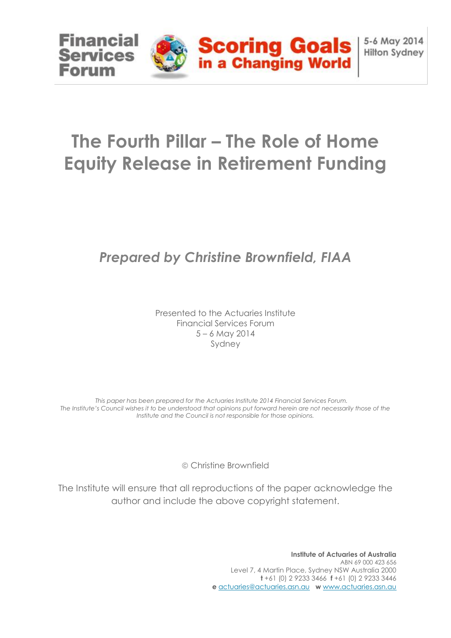

# **The Fourth Pillar – The Role of Home Equity Release in Retirement Funding**

# *Prepared by Christine Brownfield, FIAA*

Presented to the Actuaries Institute Financial Services Forum 5 – 6 May 2014 Sydney

*This paper has been prepared for the Actuaries Institute 2014 Financial Services Forum. The Institute's Council wishes it to be understood that opinions put forward herein are not necessarily those of the Institute and the Council is not responsible for those opinions.*

Christine Brownfield

The Institute will ensure that all reproductions of the paper acknowledge the author and include the above copyright statement.

> **Institute of Actuaries of Australia** ABN 69 000 423 656 Level 7, 4 Martin Place, Sydney NSW Australia 2000 **t** +61 (0) 2 9233 3466 **f** +61 (0) 2 9233 3446 **e** actuaries@actuaries.asn.au **w** www.actuaries.asn.au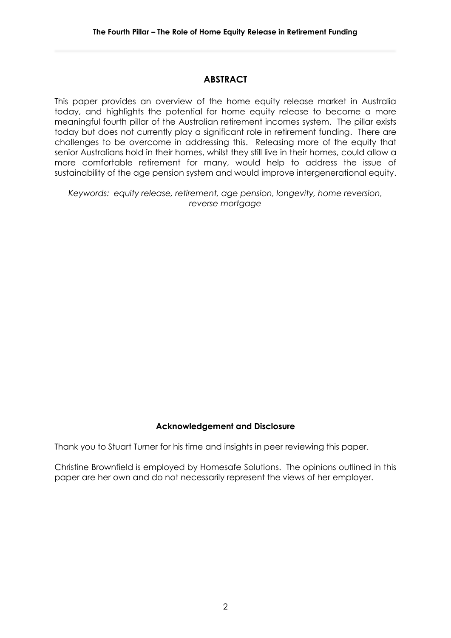# **ABSTRACT**

This paper provides an overview of the home equity release market in Australia today, and highlights the potential for home equity release to become a more meaningful fourth pillar of the Australian retirement incomes system. The pillar exists today but does not currently play a significant role in retirement funding. There are challenges to be overcome in addressing this. Releasing more of the equity that senior Australians hold in their homes, whilst they still live in their homes, could allow a more comfortable retirement for many, would help to address the issue of sustainability of the age pension system and would improve intergenerational equity.

*Keywords: equity release, retirement, age pension, longevity, home reversion, reverse mortgage*

#### **Acknowledgement and Disclosure**

Thank you to Stuart Turner for his time and insights in peer reviewing this paper.

Christine Brownfield is employed by Homesafe Solutions. The opinions outlined in this paper are her own and do not necessarily represent the views of her employer.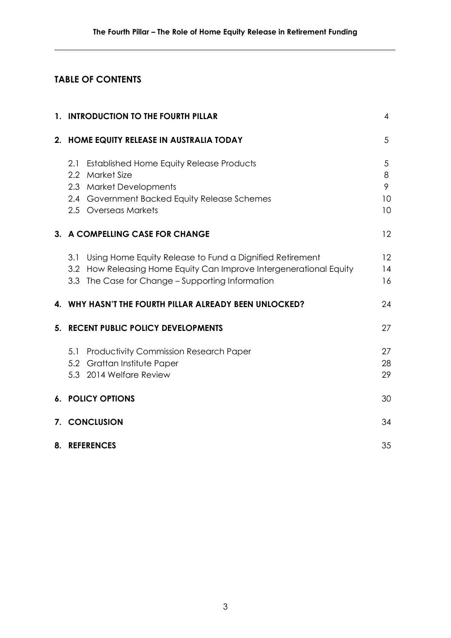# **TABLE OF CONTENTS**

|    | 1. INTRODUCTION TO THE FOURTH PILLAR                                                                                                                                                         |                         |  |  |
|----|----------------------------------------------------------------------------------------------------------------------------------------------------------------------------------------------|-------------------------|--|--|
|    | 2. HOME EQUITY RELEASE IN AUSTRALIA TODAY                                                                                                                                                    | 5                       |  |  |
|    | <b>Established Home Equity Release Products</b><br>2.1<br>Market Size<br>$2.2\phantom{0}$<br>2.3 Market Developments<br>2.4 Government Backed Equity Release Schemes<br>2.5 Overseas Markets | 5<br>8<br>9<br>10<br>10 |  |  |
|    | 3. A COMPELLING CASE FOR CHANGE                                                                                                                                                              | 12                      |  |  |
|    | Using Home Equity Release to Fund a Dignified Retirement<br>3.1<br>3.2 How Releasing Home Equity Can Improve Intergenerational Equity<br>3.3 The Case for Change - Supporting Information    | 12<br>14<br>16          |  |  |
|    | 4. WHY HASN'T THE FOURTH PILLAR ALREADY BEEN UNLOCKED?                                                                                                                                       | 24                      |  |  |
| 5. | <b>RECENT PUBLIC POLICY DEVELOPMENTS</b>                                                                                                                                                     | 27                      |  |  |
|    | 5.1 Productivity Commission Research Paper<br>5.2 Grattan Institute Paper<br>5.3 2014 Welfare Review                                                                                         | 27<br>28<br>29          |  |  |
|    | <b>6. POLICY OPTIONS</b>                                                                                                                                                                     | 30                      |  |  |
|    | 7. CONCLUSION                                                                                                                                                                                | 34                      |  |  |
|    | 8. REFERENCES                                                                                                                                                                                | 35                      |  |  |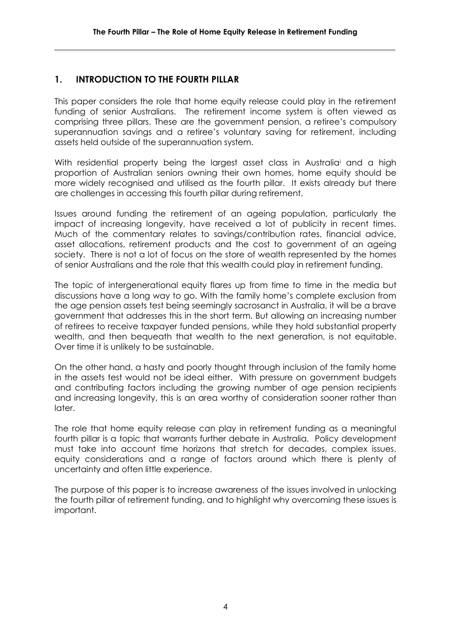# **1. INTRODUCTION TO THE FOURTH PILLAR**

This paper considers the role that home equity release could play in the retirement funding of senior Australians. The retirement income system is often viewed as comprising three pillars. These are the government pension, a retiree's compulsory superannuation savings and a retiree's voluntary saving for retirement, including assets held outside of the superannuation system.

With residential property being the largest asset class in Australia<sup>i</sup> and a high proportion of Australian seniors owning their own homes, home equity should be more widely recognised and utilised as the fourth pillar. It exists already but there are challenges in accessing this fourth pillar during retirement.

Issues around funding the retirement of an ageing population, particularly the impact of increasing longevity, have received a lot of publicity in recent times. Much of the commentary relates to savings/contribution rates, financial advice, asset allocations, retirement products and the cost to government of an ageing society. There is not a lot of focus on the store of wealth represented by the homes of senior Australians and the role that this wealth could play in retirement funding.

The topic of intergenerational equity flares up from time to time in the media but discussions have a long way to go. With the family home's complete exclusion from the age pension assets test being seemingly sacrosanct in Australia, it will be a brave government that addresses this in the short term. But allowing an increasing number of retirees to receive taxpayer funded pensions, while they hold substantial property wealth, and then bequeath that wealth to the next generation, is not equitable. Over time it is unlikely to be sustainable.

On the other hand, a hasty and poorly thought through inclusion of the family home in the assets test would not be ideal either. With pressure on government budgets and contributing factors including the growing number of age pension recipients and increasing longevity, this is an area worthy of consideration sooner rather than later.

The role that home equity release can play in retirement funding as a meaningful fourth pillar is a topic that warrants further debate in Australia. Policy development must take into account time horizons that stretch for decades, complex issues, equity considerations and a range of factors around which there is plenty of uncertainty and often little experience.

The purpose of this paper is to increase awareness of the issues involved in unlocking the fourth pillar of retirement funding, and to highlight why overcoming these issues is important.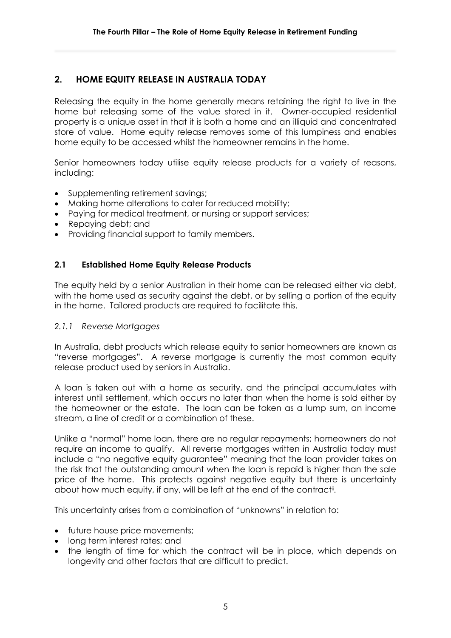# **2. HOME EQUITY RELEASE IN AUSTRALIA TODAY**

Releasing the equity in the home generally means retaining the right to live in the home but releasing some of the value stored in it. Owner-occupied residential property is a unique asset in that it is both a home and an illiquid and concentrated store of value. Home equity release removes some of this lumpiness and enables home equity to be accessed whilst the homeowner remains in the home.

Senior homeowners today utilise equity release products for a variety of reasons, including:

- Supplementing retirement savings;
- Making home alterations to cater for reduced mobility;
- Paying for medical treatment, or nursing or support services;
- Repaying debt; and
- Providing financial support to family members.

#### **2.1 Established Home Equity Release Products**

The equity held by a senior Australian in their home can be released either via debt, with the home used as security against the debt, or by selling a portion of the equity in the home. Tailored products are required to facilitate this.

#### *2.1.1 Reverse Mortgages*

In Australia, debt products which release equity to senior homeowners are known as "reverse mortgages". A reverse mortgage is currently the most common equity release product used by seniors in Australia.

A loan is taken out with a home as security, and the principal accumulates with interest until settlement, which occurs no later than when the home is sold either by the homeowner or the estate. The loan can be taken as a lump sum, an income stream, a line of credit or a combination of these.

Unlike a "normal" home loan, there are no regular repayments; homeowners do not require an income to qualify. All reverse mortgages written in Australia today must include a "no negative equity guarantee" meaning that the loan provider takes on the risk that the outstanding amount when the loan is repaid is higher than the sale price of the home. This protects against negative equity but there is uncertainty about how much equity, if any, will be left at the end of the contract<sup>ii</sup>.

This uncertainty arises from a combination of "unknowns" in relation to:

- future house price movements;
- long term interest rates; and
- the length of time for which the contract will be in place, which depends on longevity and other factors that are difficult to predict.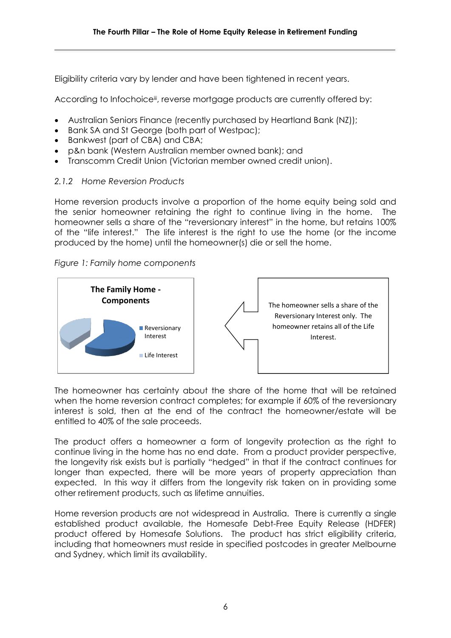Eligibility criteria vary by lender and have been tightened in recent years.

According to Infochoice<sup>ii</sup>, reverse mortgage products are currently offered by:

- Australian Seniors Finance (recently purchased by Heartland Bank (NZ));
- Bank SA and St George (both part of Westpac);
- Bankwest (part of CBA) and CBA;
- p&n bank (Western Australian member owned bank); and
- Transcomm Credit Union (Victorian member owned credit union).

#### *2.1.2 Home Reversion Products*

Home reversion products involve a proportion of the home equity being sold and the senior homeowner retaining the right to continue living in the home. The homeowner sells a share of the "reversionary interest" in the home, but retains 100% of the "life interest." The life interest is the right to use the home (or the income produced by the home) until the homeowner(s) die or sell the home.

#### *Figure 1: Family home components*



The homeowner has certainty about the share of the home that will be retained when the home reversion contract completes; for example if 60% of the reversionary interest is sold, then at the end of the contract the homeowner/estate will be entitled to 40% of the sale proceeds.

The product offers a homeowner a form of longevity protection as the right to continue living in the home has no end date. From a product provider perspective, the longevity risk exists but is partially "hedged" in that if the contract continues for longer than expected, there will be more years of property appreciation than expected. In this way it differs from the longevity risk taken on in providing some other retirement products, such as lifetime annuities.

Home reversion products are not widespread in Australia. There is currently a single established product available, the Homesafe Debt-Free Equity Release (HDFER) product offered by Homesafe Solutions. The product has strict eligibility criteria, including that homeowners must reside in specified postcodes in greater Melbourne and Sydney, which limit its availability.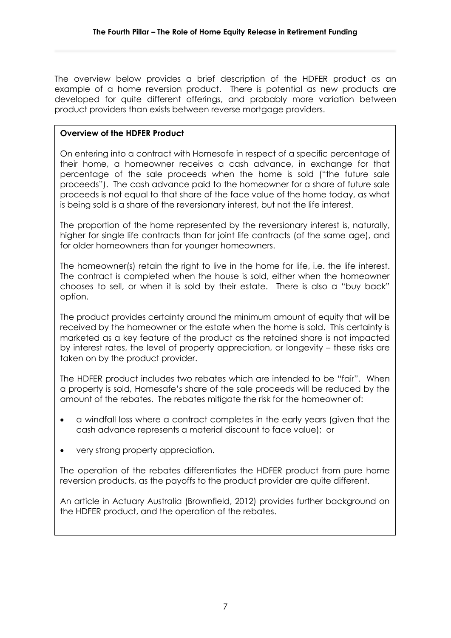The overview below provides a brief description of the HDFER product as an example of a home reversion product. There is potential as new products are developed for quite different offerings, and probably more variation between product providers than exists between reverse mortgage providers.

#### **Overview of the HDFER Product**

On entering into a contract with Homesafe in respect of a specific percentage of their home, a homeowner receives a cash advance, in exchange for that percentage of the sale proceeds when the home is sold ("the future sale proceeds"). The cash advance paid to the homeowner for a share of future sale proceeds is not equal to that share of the face value of the home today, as what is being sold is a share of the reversionary interest, but not the life interest.

The proportion of the home represented by the reversionary interest is, naturally, higher for single life contracts than for joint life contracts (of the same age), and for older homeowners than for younger homeowners.

The homeowner(s) retain the right to live in the home for life, i.e. the life interest. The contract is completed when the house is sold, either when the homeowner chooses to sell, or when it is sold by their estate. There is also a "buy back" option.

The product provides certainty around the minimum amount of equity that will be received by the homeowner or the estate when the home is sold. This certainty is marketed as a key feature of the product as the retained share is not impacted by interest rates, the level of property appreciation, or longevity – these risks are taken on by the product provider.

The HDFER product includes two rebates which are intended to be "fair". When a property is sold, Homesafe's share of the sale proceeds will be reduced by the amount of the rebates. The rebates mitigate the risk for the homeowner of:

- a windfall loss where a contract completes in the early years (given that the cash advance represents a material discount to face value); or
- very strong property appreciation.

The operation of the rebates differentiates the HDFER product from pure home reversion products, as the payoffs to the product provider are quite different.

An article in Actuary Australia (Brownfield, 2012) provides further background on the HDFER product, and the operation of the rebates.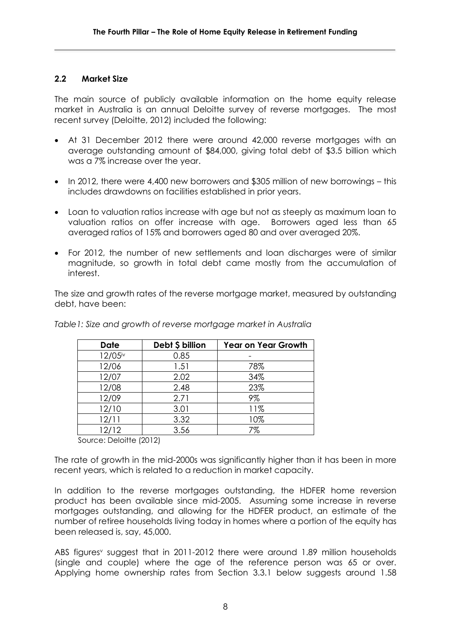#### **2.2 Market Size**

The main source of publicly available information on the home equity release market in Australia is an annual Deloitte survey of reverse mortgages. The most recent survey (Deloitte, 2012) included the following:

- At 31 December 2012 there were around 42,000 reverse mortgages with an average outstanding amount of \$84,000, giving total debt of \$3.5 billion which was a 7% increase over the year.
- In 2012, there were 4,400 new borrowers and \$305 million of new borrowings this includes drawdowns on facilities established in prior years.
- Loan to valuation ratios increase with age but not as steeply as maximum loan to valuation ratios on offer increase with age. Borrowers aged less than 65 averaged ratios of 15% and borrowers aged 80 and over averaged 20%.
- For 2012, the number of new settlements and loan discharges were of similar magnitude, so growth in total debt came mostly from the accumulation of interest.

The size and growth rates of the reverse mortgage market, measured by outstanding debt, have been:

| <b>Date</b> | Debt \$ billion | <b>Year on Year Growth</b> |
|-------------|-----------------|----------------------------|
| 12/05iv     | 0.85            |                            |
| 12/06       | 1.51            | 78%                        |
| 12/07       | 2.02            | 34%                        |
| 12/08       | 2.48            | 23%                        |
| 12/09       | 2.71            | 9%                         |
| 12/10       | 3.01            | 11%                        |
| 12/11       | 3.32            | 10%                        |
| 12/12       | 3.56            | 7%                         |

*Table1: Size and growth of reverse mortgage market in Australia*

Source: Deloitte (2012)

The rate of growth in the mid-2000s was significantly higher than it has been in more recent years, which is related to a reduction in market capacity.

In addition to the reverse mortgages outstanding, the HDFER home reversion product has been available since mid-2005. Assuming some increase in reverse mortgages outstanding, and allowing for the HDFER product, an estimate of the number of retiree households living today in homes where a portion of the equity has been released is, say, 45,000.

ABS figures<sup>v</sup> suggest that in 2011-2012 there were around 1.89 million households (single and couple) where the age of the reference person was 65 or over. Applying home ownership rates from Section 3.3.1 below suggests around 1.58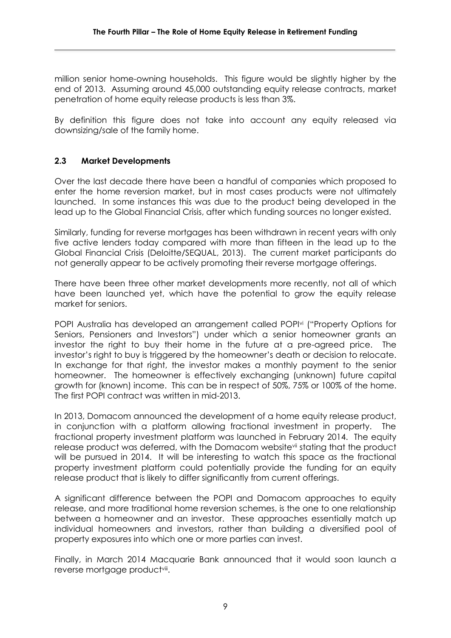million senior home-owning households. This figure would be slightly higher by the end of 2013. Assuming around 45,000 outstanding equity release contracts, market penetration of home equity release products is less than 3%.

By definition this figure does not take into account any equity released via downsizing/sale of the family home.

#### **2.3 Market Developments**

Over the last decade there have been a handful of companies which proposed to enter the home reversion market, but in most cases products were not ultimately launched. In some instances this was due to the product being developed in the lead up to the Global Financial Crisis, after which funding sources no longer existed.

Similarly, funding for reverse mortgages has been withdrawn in recent years with only five active lenders today compared with more than fifteen in the lead up to the Global Financial Crisis (Deloitte/SEQUAL, 2013). The current market participants do not generally appear to be actively promoting their reverse mortgage offerings.

There have been three other market developments more recently, not all of which have been launched yet, which have the potential to grow the equity release market for seniors.

POPI Australia has developed an arrangement called POPI<sup>vi</sup> ("Property Options for Seniors, Pensioners and Investors") under which a senior homeowner grants an investor the right to buy their home in the future at a pre-agreed price. The investor's right to buy is triggered by the homeowner's death or decision to relocate. In exchange for that right, the investor makes a monthly payment to the senior homeowner. The homeowner is effectively exchanging (unknown) future capital growth for (known) income. This can be in respect of 50%, 75% or 100% of the home. The first POPI contract was written in mid-2013.

In 2013, Domacom announced the development of a home equity release product, in conjunction with a platform allowing fractional investment in property. The fractional property investment platform was launched in February 2014. The equity release product was deferred, with the Domacom websitevii stating that the product will be pursued in 2014. It will be interesting to watch this space as the fractional property investment platform could potentially provide the funding for an equity release product that is likely to differ significantly from current offerings.

A significant difference between the POPI and Domacom approaches to equity release, and more traditional home reversion schemes, is the one to one relationship between a homeowner and an investor. These approaches essentially match up individual homeowners and investors, rather than building a diversified pool of property exposures into which one or more parties can invest.

Finally, in March 2014 Macquarie Bank announced that it would soon launch a reverse mortgage product<sup>viii</sup>.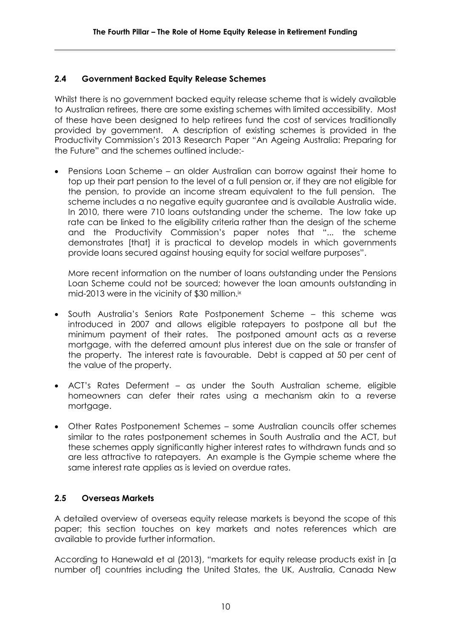#### **2.4 Government Backed Equity Release Schemes**

Whilst there is no government backed equity release scheme that is widely available to Australian retirees, there are some existing schemes with limited accessibility. Most of these have been designed to help retirees fund the cost of services traditionally provided by government. A description of existing schemes is provided in the Productivity Commission's 2013 Research Paper "An Ageing Australia: Preparing for the Future" and the schemes outlined include:-

 Pensions Loan Scheme – an older Australian can borrow against their home to top up their part pension to the level of a full pension or, if they are not eligible for the pension, to provide an income stream equivalent to the full pension. The scheme includes a no negative equity guarantee and is available Australia wide. In 2010, there were 710 loans outstanding under the scheme. The low take up rate can be linked to the eligibility criteria rather than the design of the scheme and the Productivity Commission's paper notes that "... the scheme demonstrates [that] it is practical to develop models in which governments provide loans secured against housing equity for social welfare purposes".

More recent information on the number of loans outstanding under the Pensions Loan Scheme could not be sourced; however the loan amounts outstanding in mid-2013 were in the vicinity of \$30 million.<sup>ix</sup>

- South Australia's Seniors Rate Postponement Scheme this scheme was introduced in 2007 and allows eligible ratepayers to postpone all but the minimum payment of their rates. The postponed amount acts as a reverse mortgage, with the deferred amount plus interest due on the sale or transfer of the property. The interest rate is favourable. Debt is capped at 50 per cent of the value of the property.
- ACT's Rates Deferment as under the South Australian scheme, eligible homeowners can defer their rates using a mechanism akin to a reverse mortgage.
- Other Rates Postponement Schemes some Australian councils offer schemes similar to the rates postponement schemes in South Australia and the ACT, but these schemes apply significantly higher interest rates to withdrawn funds and so are less attractive to ratepayers. An example is the Gympie scheme where the same interest rate applies as is levied on overdue rates.

#### **2.5 Overseas Markets**

A detailed overview of overseas equity release markets is beyond the scope of this paper; this section touches on key markets and notes references which are available to provide further information.

According to Hanewald et al (2013), "markets for equity release products exist in [a number of] countries including the United States, the UK, Australia, Canada New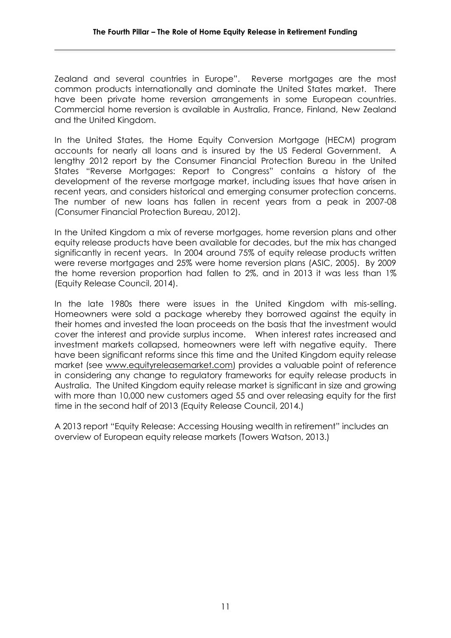Zealand and several countries in Europe". Reverse mortgages are the most common products internationally and dominate the United States market. There have been private home reversion arrangements in some European countries. Commercial home reversion is available in Australia, France, Finland, New Zealand and the United Kingdom.

In the United States, the Home Equity Conversion Mortgage (HECM) program accounts for nearly all loans and is insured by the US Federal Government. A lengthy 2012 report by the Consumer Financial Protection Bureau in the United States "Reverse Mortgages: Report to Congress" contains a history of the development of the reverse mortgage market, including issues that have arisen in recent years, and considers historical and emerging consumer protection concerns. The number of new loans has fallen in recent years from a peak in 2007-08 (Consumer Financial Protection Bureau, 2012).

In the United Kingdom a mix of reverse mortgages, home reversion plans and other equity release products have been available for decades, but the mix has changed significantly in recent years. In 2004 around 75% of equity release products written were reverse mortgages and 25% were home reversion plans (ASIC, 2005). By 2009 the home reversion proportion had fallen to 2%, and in 2013 it was less than 1% (Equity Release Council, 2014).

In the late 1980s there were issues in the United Kingdom with mis-selling. Homeowners were sold a package whereby they borrowed against the equity in their homes and invested the loan proceeds on the basis that the investment would cover the interest and provide surplus income. When interest rates increased and investment markets collapsed, homeowners were left with negative equity. There have been significant reforms since this time and the United Kingdom equity release market (see [www.equityreleasemarket.com\)](http://www.equityreleasemarket.com/) provides a valuable point of reference in considering any change to regulatory frameworks for equity release products in Australia. The United Kingdom equity release market is significant in size and growing with more than 10,000 new customers aged 55 and over releasing equity for the first time in the second half of 2013 (Equity Release Council, 2014.)

A 2013 report "Equity Release: Accessing Housing wealth in retirement" includes an overview of European equity release markets (Towers Watson, 2013.)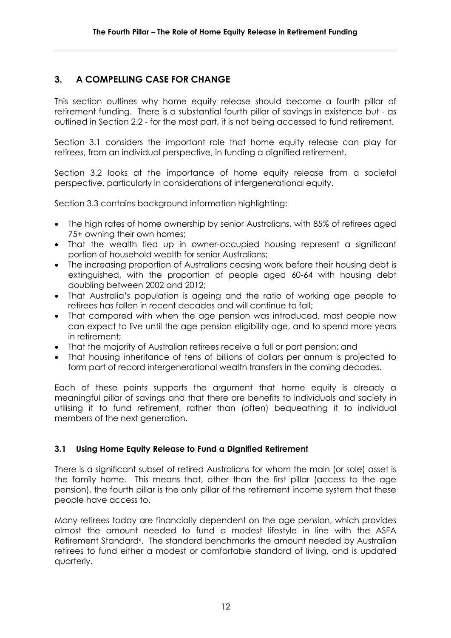# **3. A COMPELLING CASE FOR CHANGE**

This section outlines why home equity release should become a fourth pillar of retirement funding. There is a substantial fourth pillar of savings in existence but - as outlined in Section 2.2 - for the most part, it is not being accessed to fund retirement.

Section 3.1 considers the important role that home equity release can play for retirees, from an individual perspective, in funding a dignified retirement.

Section 3.2 looks at the importance of home equity release from a societal perspective, particularly in considerations of intergenerational equity.

Section 3.3 contains background information highlighting:

- The high rates of home ownership by senior Australians, with 85% of retirees aged 75+ owning their own homes;
- That the wealth tied up in owner-occupied housing represent a significant portion of household wealth for senior Australians;
- The increasing proportion of Australians ceasing work before their housing debt is extinguished, with the proportion of people aged 60-64 with housing debt doubling between 2002 and 2012;
- That Australia's population is ageing and the ratio of working age people to retirees has fallen in recent decades and will continue to fall;
- That compared with when the age pension was introduced, most people now can expect to live until the age pension eligibility age, and to spend more years in retirement;
- That the majority of Australian retirees receive a full or part pension; and
- That housing inheritance of tens of billions of dollars per annum is projected to form part of record intergenerational wealth transfers in the coming decades.

Each of these points supports the argument that home equity is already a meaningful pillar of savings and that there are benefits to individuals and society in utilising it to fund retirement, rather than (often) bequeathing it to individual members of the next generation.

## **3.1 Using Home Equity Release to Fund a Dignified Retirement**

There is a significant subset of retired Australians for whom the main (or sole) asset is the family home. This means that, other than the first pillar (access to the age pension), the fourth pillar is the only pillar of the retirement income system that these people have access to.

Many retirees today are financially dependent on the age pension, which provides almost the amount needed to fund a modest lifestyle in line with the ASFA Retirement Standard<sup>x</sup>. The standard benchmarks the amount needed by Australian retirees to fund either a modest or comfortable standard of living, and is updated quarterly.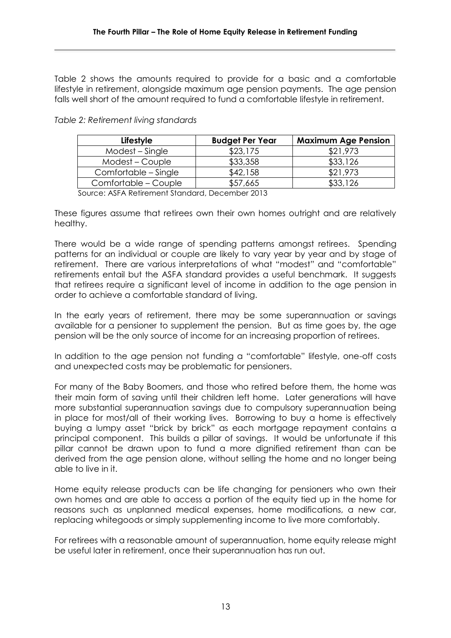Table 2 shows the amounts required to provide for a basic and a comfortable lifestyle in retirement, alongside maximum age pension payments. The age pension falls well short of the amount required to fund a comfortable lifestyle in retirement.

| Lifestyle            | <b>Budget Per Year</b> | <b>Maximum Age Pension</b> |
|----------------------|------------------------|----------------------------|
| Modest – Single      | \$23,175               | \$21,973                   |
| Modest – Couple      | \$33,358               | \$33,126                   |
| Comfortable – Single | \$42,158               | \$21,973                   |
| Comfortable - Couple | \$57,665               | \$33,126                   |

*Table 2: Retirement living standards*

Source: ASFA Retirement Standard, December 2013

These figures assume that retirees own their own homes outright and are relatively healthy.

There would be a wide range of spending patterns amongst retirees. Spending patterns for an individual or couple are likely to vary year by year and by stage of retirement. There are various interpretations of what "modest" and "comfortable" retirements entail but the ASFA standard provides a useful benchmark. It suggests that retirees require a significant level of income in addition to the age pension in order to achieve a comfortable standard of living.

In the early years of retirement, there may be some superannuation or savings available for a pensioner to supplement the pension. But as time goes by, the age pension will be the only source of income for an increasing proportion of retirees.

In addition to the age pension not funding a "comfortable" lifestyle, one-off costs and unexpected costs may be problematic for pensioners.

For many of the Baby Boomers, and those who retired before them, the home was their main form of saving until their children left home. Later generations will have more substantial superannuation savings due to compulsory superannuation being in place for most/all of their working lives. Borrowing to buy a home is effectively buying a lumpy asset "brick by brick" as each mortgage repayment contains a principal component. This builds a pillar of savings. It would be unfortunate if this pillar cannot be drawn upon to fund a more dignified retirement than can be derived from the age pension alone, without selling the home and no longer being able to live in it.

Home equity release products can be life changing for pensioners who own their own homes and are able to access a portion of the equity tied up in the home for reasons such as unplanned medical expenses, home modifications, a new car, replacing whitegoods or simply supplementing income to live more comfortably.

For retirees with a reasonable amount of superannuation, home equity release might be useful later in retirement, once their superannuation has run out.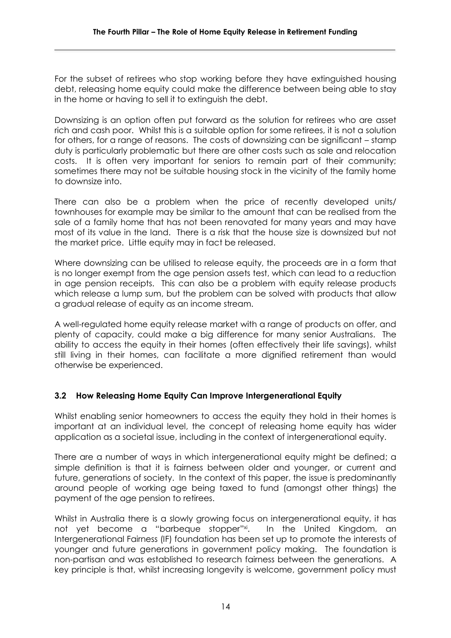For the subset of retirees who stop working before they have extinguished housing debt, releasing home equity could make the difference between being able to stay in the home or having to sell it to extinguish the debt.

Downsizing is an option often put forward as the solution for retirees who are asset rich and cash poor. Whilst this is a suitable option for some retirees, it is not a solution for others, for a range of reasons. The costs of downsizing can be significant – stamp duty is particularly problematic but there are other costs such as sale and relocation costs. It is often very important for seniors to remain part of their community; sometimes there may not be suitable housing stock in the vicinity of the family home to downsize into.

There can also be a problem when the price of recently developed units/ townhouses for example may be similar to the amount that can be realised from the sale of a family home that has not been renovated for many years and may have most of its value in the land. There is a risk that the house size is downsized but not the market price. Little equity may in fact be released.

Where downsizing can be utilised to release equity, the proceeds are in a form that is no longer exempt from the age pension assets test, which can lead to a reduction in age pension receipts. This can also be a problem with equity release products which release a lump sum, but the problem can be solved with products that allow a gradual release of equity as an income stream.

A well-regulated home equity release market with a range of products on offer, and plenty of capacity, could make a big difference for many senior Australians. The ability to access the equity in their homes (often effectively their life savings), whilst still living in their homes, can facilitate a more dignified retirement than would otherwise be experienced.

## **3.2 How Releasing Home Equity Can Improve Intergenerational Equity**

Whilst enabling senior homeowners to access the equity they hold in their homes is important at an individual level, the concept of releasing home equity has wider application as a societal issue, including in the context of intergenerational equity.

There are a number of ways in which intergenerational equity might be defined; a simple definition is that it is fairness between older and younger, or current and future, generations of society. In the context of this paper, the issue is predominantly around people of working age being taxed to fund (amongst other things) the payment of the age pension to retirees.

Whilst in Australia there is a slowly growing focus on intergenerational equity, it has not yet become a "barbeque stopper"<sup>xi</sup>. In the United Kingdom, an Intergenerational Fairness (IF) foundation has been set up to promote the interests of younger and future generations in government policy making. The foundation is non-partisan and was established to research fairness between the generations. A key principle is that, whilst increasing longevity is welcome, government policy must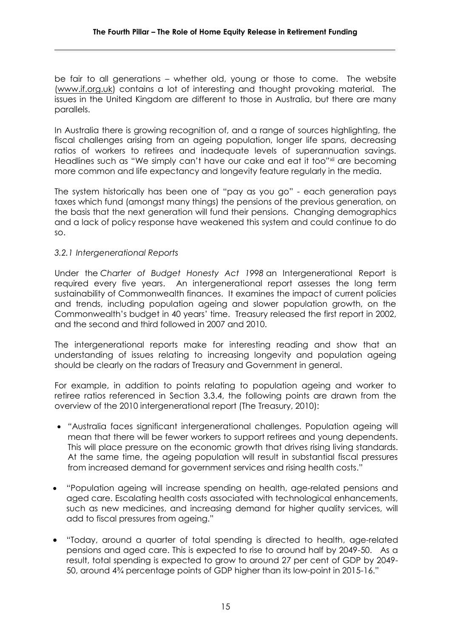be fair to all generations – whether old, young or those to come. The website [\(www.if.org.uk\)](http://www.if.org.uk/) contains a lot of interesting and thought provoking material. The issues in the United Kingdom are different to those in Australia, but there are many parallels.

In Australia there is growing recognition of, and a range of sources highlighting, the fiscal challenges arising from an ageing population, longer life spans, decreasing ratios of workers to retirees and inadequate levels of superannuation savings. Headlines such as "We simply can't have our cake and eat it too"xii are becoming more common and life expectancy and longevity feature regularly in the media.

The system historically has been one of "pay as you go" - each generation pays taxes which fund (amongst many things) the pensions of the previous generation, on the basis that the next generation will fund their pensions. Changing demographics and a lack of policy response have weakened this system and could continue to do so.

#### *3.2.1 Intergenerational Reports*

Under the *[Charter of Budget Honesty Act 1998](http://www.comlaw.gov.au/ComLaw/Legislation/ActCompilation1.nsf/framelodgmentattachments/1AF5822889419466CA256F710051FA64)* an Intergenerational Report is required every five years. An intergenerational report assesses the long term sustainability of Commonwealth finances. It examines the impact of current policies and trends, including population ageing and slower population growth, on the Commonwealth's budget in 40 years' time. Treasury released the first report in 2002, and the second and third followed in 2007 and 2010.

The intergenerational reports make for interesting reading and show that an understanding of issues relating to increasing longevity and population ageing should be clearly on the radars of Treasury and Government in general.

For example, in addition to points relating to population ageing and worker to retiree ratios referenced in Section 3.3.4, the following points are drawn from the overview of the 2010 intergenerational report (The Treasury, 2010):

- *"*Australia faces significant intergenerational challenges. Population ageing will mean that there will be fewer workers to support retirees and young dependents. This will place pressure on the economic growth that drives rising living standards. At the same time, the ageing population will result in substantial fiscal pressures from increased demand for government services and rising health costs."
- "Population ageing will increase spending on health, age-related pensions and aged care. Escalating health costs associated with technological enhancements, such as new medicines, and increasing demand for higher quality services, will add to fiscal pressures from ageing."
- "Today, around a quarter of total spending is directed to health, age-related pensions and aged care. This is expected to rise to around half by 2049-50. As a result, total spending is expected to grow to around 27 per cent of GDP by 2049- 50, around 4¾ percentage points of GDP higher than its low-point in 2015-16."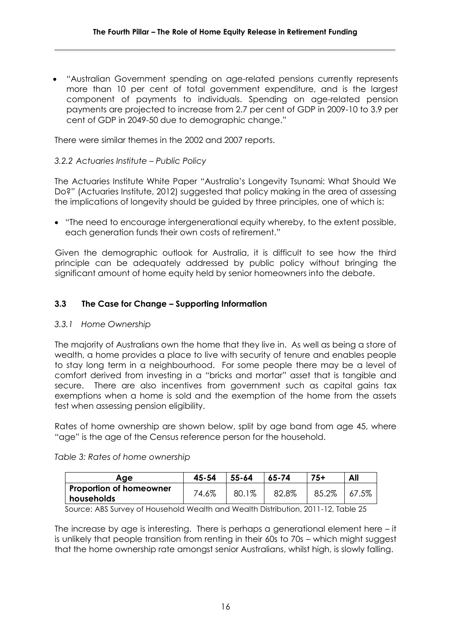"Australian Government spending on age-related pensions currently represents more than 10 per cent of total government expenditure, and is the largest component of payments to individuals. Spending on age-related pension payments are projected to increase from 2.7 per cent of GDP in 2009-10 to 3.9 per cent of GDP in 2049-50 due to demographic change."

There were similar themes in the 2002 and 2007 reports.

#### *3.2.2 Actuaries Institute – Public Policy*

The Actuaries Institute White Paper "Australia's Longevity Tsunami: What Should We Do?" (Actuaries Institute, 2012) suggested that policy making in the area of assessing the implications of longevity should be guided by three principles, one of which is:

 "The need to encourage intergenerational equity whereby, to the extent possible, each generation funds their own costs of retirement."

Given the demographic outlook for Australia, it is difficult to see how the third principle can be adequately addressed by public policy without bringing the significant amount of home equity held by senior homeowners into the debate.

#### **3.3 The Case for Change – Supporting Information**

#### *3.3.1 Home Ownership*

The majority of Australians own the home that they live in. As well as being a store of wealth, a home provides a place to live with security of tenure and enables people to stay long term in a neighbourhood. For some people there may be a level of comfort derived from investing in a "bricks and mortar" asset that is tangible and secure. There are also incentives from government such as capital gains tax exemptions when a home is sold and the exemption of the home from the assets test when assessing pension eligibility.

Rates of home ownership are shown below, split by age band from age 45, where "age" is the age of the Census reference person for the household.

|  |  | Table 3: Rates of home ownership |  |
|--|--|----------------------------------|--|
|  |  |                                  |  |

| Age                            | 45-54 | $55 - 64$    | $65 - 74$ | 75+   | All   |
|--------------------------------|-------|--------------|-----------|-------|-------|
| <b>Proportion of homeowner</b> | 74.6% | $1\%$<br>80. | 82.8%     | 85.2% | 67.5% |
| households                     |       |              |           |       |       |

Source: ABS Survey of Household Wealth and Wealth Distribution, 2011-12, Table 25

The increase by age is interesting. There is perhaps a generational element here – it is unlikely that people transition from renting in their 60s to 70s – which might suggest that the home ownership rate amongst senior Australians, whilst high, is slowly falling.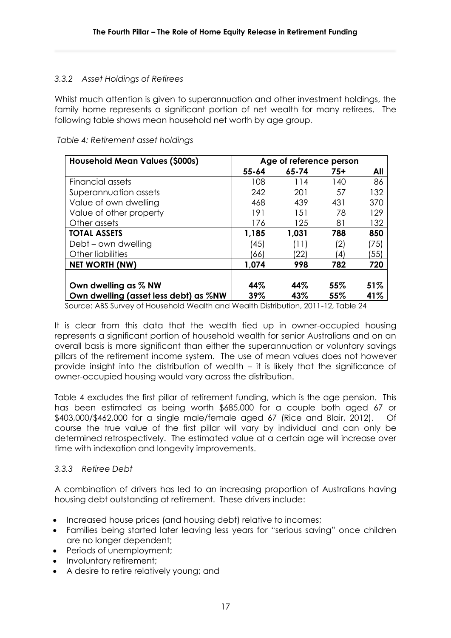#### *3.3.2 Asset Holdings of Retirees*

Whilst much attention is given to superannuation and other investment holdings, the family home represents a significant portion of net wealth for many retirees. The following table shows mean household net worth by age group.

| <b>Household Mean Values (\$000s)</b> |           | Age of reference person |       |      |
|---------------------------------------|-----------|-------------------------|-------|------|
|                                       | $55 - 64$ | $65 - 74$               | $75+$ | All  |
| Financial assets                      | 108       | 114                     | 140   | 86   |
| Superannuation assets                 | 242       | 201                     | 57    | 132  |
| Value of own dwelling                 | 468       | 439                     | 431   | 370  |
| Value of other property               | 191       | 151                     | 78    | 129  |
| Other assets                          | 176       | 125                     | 81    | 132  |
| <b>TOTAL ASSETS</b>                   | 1,185     | 1,031                   | 788   | 850  |
| Debt – own dwelling                   | (45)      | (11)                    | (2)   | (75) |
| Other liabilities                     | (66)      | '22)                    | (4)   | (55) |
| <b>NET WORTH (NW)</b>                 | 1,074     | 998                     | 782   | 720  |
|                                       |           |                         |       |      |
| Own dwelling as % NW                  | 44%       | 44%                     | 55%   | 51%  |
| Own dwelling (asset less debt) as %NW | 39%       | 43%                     | 55%   | 41%  |

*Table 4: Retirement asset holdings*

Source: ABS Survey of Household Wealth and Wealth Distribution, 2011-12, Table 24

It is clear from this data that the wealth tied up in owner-occupied housing represents a significant portion of household wealth for senior Australians and on an overall basis is more significant than either the superannuation or voluntary savings pillars of the retirement income system. The use of mean values does not however provide insight into the distribution of wealth – it is likely that the significance of owner-occupied housing would vary across the distribution.

Table 4 excludes the first pillar of retirement funding, which is the age pension. This has been estimated as being worth \$685,000 for a couple both aged 67 or \$403,000/\$462,000 for a single male/female aged 67 (Rice and Blair, 2012). Of course the true value of the first pillar will vary by individual and can only be determined retrospectively. The estimated value at a certain age will increase over time with indexation and longevity improvements.

#### *3.3.3 Retiree Debt*

A combination of drivers has led to an increasing proportion of Australians having housing debt outstanding at retirement. These drivers include:

- Increased house prices (and housing debt) relative to incomes;
- Families being started later leaving less years for "serious saving" once children are no longer dependent;
- Periods of unemployment;
- Involuntary retirement;
- A desire to retire relatively young; and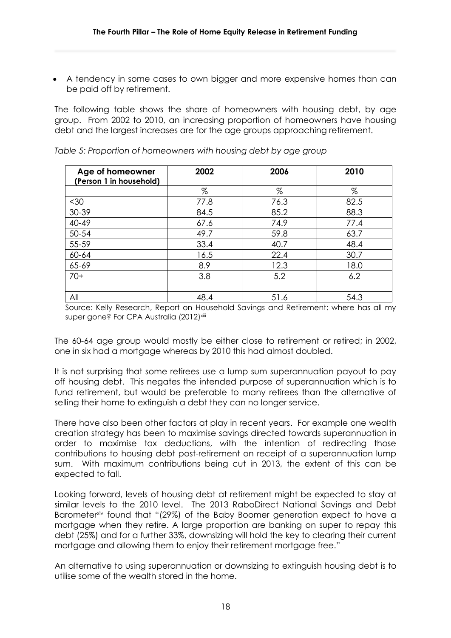A tendency in some cases to own bigger and more expensive homes than can be paid off by retirement.

The following table shows the share of homeowners with housing debt, by age group. From 2002 to 2010, an increasing proportion of homeowners have housing debt and the largest increases are for the age groups approaching retirement.

| Age of homeowner<br>(Person 1 in household) | 2002 | 2006 | 2010 |
|---------------------------------------------|------|------|------|
|                                             | $\%$ | $\%$ | $\%$ |
| $30$                                        | 77.8 | 76.3 | 82.5 |
| 30-39                                       | 84.5 | 85.2 | 88.3 |
| 40-49                                       | 67.6 | 74.9 | 77.4 |
| 50-54                                       | 49.7 | 59.8 | 63.7 |
| 55-59                                       | 33.4 | 40.7 | 48.4 |
| 60-64                                       | 16.5 | 22.4 | 30.7 |
| 65-69                                       | 8.9  | 12.3 | 18.0 |
| $70+$                                       | 3.8  | 5.2  | 6.2  |
|                                             |      |      |      |
| All                                         | 48.4 | 51.6 | 54.3 |

*Table 5: Proportion of homeowners with housing debt by age group*

Source: Kelly Research, Report on Household Savings and Retirement: where has all my super gone? For CPA Australia (2012)<sup>xiii</sup>

The 60-64 age group would mostly be either close to retirement or retired; in 2002, one in six had a mortgage whereas by 2010 this had almost doubled.

It is not surprising that some retirees use a lump sum superannuation payout to pay off housing debt. This negates the intended purpose of superannuation which is to fund retirement, but would be preferable to many retirees than the alternative of selling their home to extinguish a debt they can no longer service.

There have also been other factors at play in recent years. For example one wealth creation strategy has been to maximise savings directed towards superannuation in order to maximise tax deductions, with the intention of redirecting those contributions to housing debt post-retirement on receipt of a superannuation lump sum. With maximum contributions being cut in 2013, the extent of this can be expected to fall.

Looking forward, levels of housing debt at retirement might be expected to stay at similar levels to the 2010 level. The 2013 RaboDirect National Savings and Debt Barometerxiv found that "(29%) of the Baby Boomer generation expect to have a mortgage when they retire. A large proportion are banking on super to repay this debt (25%) and for a further 33%, downsizing will hold the key to clearing their current mortgage and allowing them to enjoy their retirement mortgage free."

An alternative to using superannuation or downsizing to extinguish housing debt is to utilise some of the wealth stored in the home.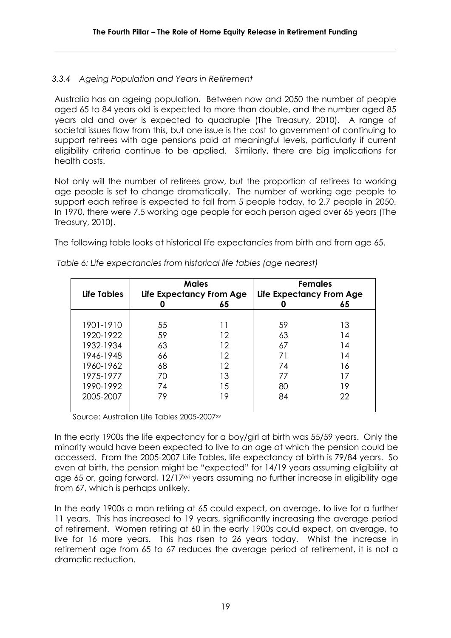#### *3.3.4 Ageing Population and Years in Retirement*

Australia has an ageing population. Between now and 2050 the number of people aged 65 to 84 years old is expected to more than double, and the number aged 85 years old and over is expected to quadruple (The Treasury, 2010). A range of societal issues flow from this, but one issue is the cost to government of continuing to support retirees with age pensions paid at meaningful levels, particularly if current eligibility criteria continue to be applied. Similarly, there are big implications for health costs.

Not only will the number of retirees grow, but the proportion of retirees to working age people is set to change dramatically. The number of working age people to support each retiree is expected to fall from 5 people today, to 2.7 people in 2050. In 1970, there were 7.5 working age people for each person aged over 65 years (The Treasury, 2010).

The following table looks at historical life expectancies from birth and from age 65.

| <b>Life Tables</b> | <b>Males</b><br>Life Expectancy From Age |    | <b>Females</b><br>Life Expectancy From Age |    |
|--------------------|------------------------------------------|----|--------------------------------------------|----|
|                    |                                          | 65 |                                            | 65 |
|                    |                                          |    |                                            |    |
| 1901-1910          | 55                                       | 11 | 59                                         | 13 |
| 1920-1922          | 59                                       | 12 | 63                                         | 14 |
| 1932-1934          | 63                                       | 12 | 67                                         | 14 |
| 1946-1948          | 66                                       | 12 | 71                                         | 14 |
| 1960-1962          | 68                                       | 12 | 74                                         | 16 |
| 1975-1977          | 70                                       | 13 | 77                                         | 17 |
| 1990-1992          | 74                                       | 15 | 80                                         | 19 |
| 2005-2007          | 79                                       | 19 | 84                                         | 22 |
|                    |                                          |    |                                            |    |

*Table 6: Life expectancies from historical life tables (age nearest)*

Source: Australian Life Tables 2005-2007xv

In the early 1900s the life expectancy for a boy/girl at birth was 55/59 years. Only the minority would have been expected to live to an age at which the pension could be accessed. From the 2005-2007 Life Tables, life expectancy at birth is 79/84 years. So even at birth, the pension might be "expected" for 14/19 years assuming eligibility at age 65 or, going forward, 12/17<sup>xvi</sup> years assuming no further increase in eligibility age from 67, which is perhaps unlikely.

In the early 1900s a man retiring at 65 could expect, on average, to live for a further 11 years. This has increased to 19 years, significantly increasing the average period of retirement. Women retiring at 60 in the early 1900s could expect, on average, to live for 16 more years. This has risen to 26 years today. Whilst the increase in retirement age from 65 to 67 reduces the average period of retirement, it is not a dramatic reduction.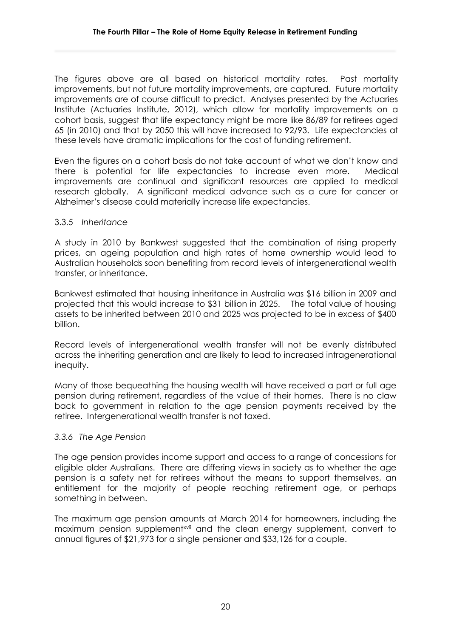The figures above are all based on historical mortality rates. Past mortality improvements, but not future mortality improvements, are captured. Future mortality improvements are of course difficult to predict. Analyses presented by the Actuaries Institute (Actuaries Institute, 2012), which allow for mortality improvements on a cohort basis, suggest that life expectancy might be more like 86/89 for retirees aged 65 (in 2010) and that by 2050 this will have increased to 92/93. Life expectancies at these levels have dramatic implications for the cost of funding retirement.

Even the figures on a cohort basis do not take account of what we don't know and there is potential for life expectancies to increase even more. Medical improvements are continual and significant resources are applied to medical research globally. A significant medical advance such as a cure for cancer or Alzheimer's disease could materially increase life expectancies.

#### 3.3.5 *Inheritance*

A study in 2010 by Bankwest suggested that the combination of rising property prices, an ageing population and high rates of home ownership would lead to Australian households soon benefiting from record levels of intergenerational wealth transfer, or inheritance.

Bankwest estimated that housing inheritance in Australia was \$16 billion in 2009 and projected that this would increase to \$31 billion in 2025. The total value of housing assets to be inherited between 2010 and 2025 was projected to be in excess of \$400 billion.

Record levels of intergenerational wealth transfer will not be evenly distributed across the inheriting generation and are likely to lead to increased intragenerational inequity.

Many of those bequeathing the housing wealth will have received a part or full age pension during retirement, regardless of the value of their homes. There is no claw back to government in relation to the age pension payments received by the retiree. Intergenerational wealth transfer is not taxed.

#### *3.3.6 The Age Pension*

The age pension provides income support and access to a range of concessions for eligible older Australians. There are differing views in society as to whether the age pension is a safety net for retirees without the means to support themselves, an entitlement for the majority of people reaching retirement age, or perhaps something in between.

The maximum age pension amounts at March 2014 for homeowners, including the maximum pension supplement<sup>xvii</sup> and the clean energy supplement, convert to annual figures of \$21,973 for a single pensioner and \$33,126 for a couple.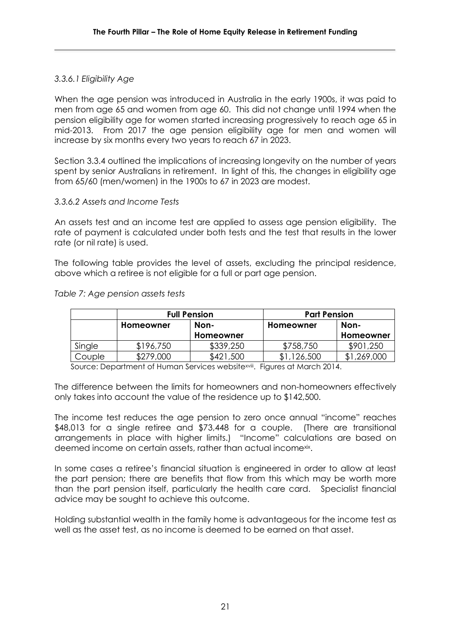#### *3.3.6.1 Eligibility Age*

When the age pension was introduced in Australia in the early 1900s, it was paid to men from age 65 and women from age 60. This did not change until 1994 when the pension eligibility age for women started increasing progressively to reach age 65 in mid-2013. From 2017 the age pension eligibility age for men and women will increase by six months every two years to reach 67 in 2023.

Section 3.3.4 outlined the implications of increasing longevity on the number of years spent by senior Australians in retirement. In light of this, the changes in eligibility age from 65/60 (men/women) in the 1900s to 67 in 2023 are modest.

#### *3.3.6.2 Assets and Income Tests*

An assets test and an income test are applied to assess age pension eligibility. The rate of payment is calculated under both tests and the test that results in the lower rate (or nil rate) is used.

The following table provides the level of assets, excluding the principal residence, above which a retiree is not eligible for a full or part age pension.

|        |                   | <b>Full Pension</b> | <b>Part Pension</b> |             |  |
|--------|-------------------|---------------------|---------------------|-------------|--|
|        | Non-<br>Homeowner |                     | Homeowner           | Non-        |  |
|        |                   | Homeowner           |                     | Homeowner   |  |
| Single | \$196,750         | \$339,250           | \$758,750           | \$901,250   |  |
| Couple | \$279,000         | \$421,500           | ,126,500            | \$1,269,000 |  |

*Table 7: Age pension assets tests*

Source: Department of Human Services websitexviii. Figures at March 2014.

The difference between the limits for homeowners and non-homeowners effectively only takes into account the value of the residence up to \$142,500.

The income test reduces the age pension to zero once annual "income" reaches \$48,013 for a single retiree and \$73,448 for a couple. (There are transitional arrangements in place with higher limits.) "Income" calculations are based on deemed income on certain assets, rather than actual incomexix.

In some cases a retiree's financial situation is engineered in order to allow at least the part pension; there are benefits that flow from this which may be worth more than the part pension itself, particularly the health care card. Specialist financial advice may be sought to achieve this outcome.

Holding substantial wealth in the family home is advantageous for the income test as well as the asset test, as no income is deemed to be earned on that asset.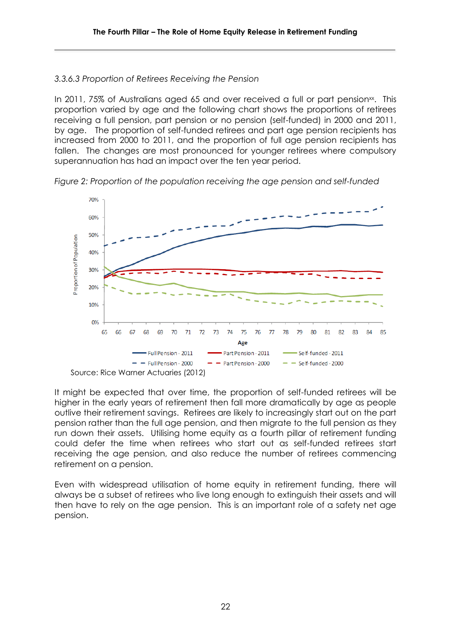#### *3.3.6.3 Proportion of Retirees Receiving the Pension*

In 2011, 75% of Australians aged 65 and over received a full or part pension<sup>xx</sup>. This proportion varied by age and the following chart shows the proportions of retirees receiving a full pension, part pension or no pension (self-funded) in 2000 and 2011, by age. The proportion of self-funded retirees and part age pension recipients has increased from 2000 to 2011, and the proportion of full age pension recipients has fallen. The changes are most pronounced for younger retirees where compulsory superannuation has had an impact over the ten year period.

*Figure 2: Proportion of the population receiving the age pension and self-funded* 



It might be expected that over time, the proportion of self-funded retirees will be higher in the early years of retirement then fall more dramatically by age as people outlive their retirement savings. Retirees are likely to increasingly start out on the part pension rather than the full age pension, and then migrate to the full pension as they run down their assets. Utilising home equity as a fourth pillar of retirement funding could defer the time when retirees who start out as self-funded retirees start receiving the age pension, and also reduce the number of retirees commencing retirement on a pension.

Even with widespread utilisation of home equity in retirement funding, there will always be a subset of retirees who live long enough to extinguish their assets and will then have to rely on the age pension. This is an important role of a safety net age pension.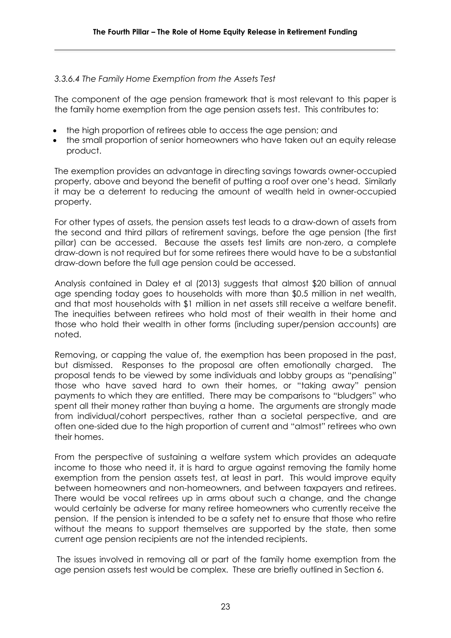#### *3.3.6.4 The Family Home Exemption from the Assets Test*

The component of the age pension framework that is most relevant to this paper is the family home exemption from the age pension assets test. This contributes to:

- the high proportion of retirees able to access the age pension; and
- the small proportion of senior homeowners who have taken out an equity release product.

The exemption provides an advantage in directing savings towards owner-occupied property, above and beyond the benefit of putting a roof over one's head. Similarly it may be a deterrent to reducing the amount of wealth held in owner-occupied property.

For other types of assets, the pension assets test leads to a draw-down of assets from the second and third pillars of retirement savings, before the age pension (the first pillar) can be accessed. Because the assets test limits are non-zero, a complete draw-down is not required but for some retirees there would have to be a substantial draw-down before the full age pension could be accessed.

Analysis contained in Daley et al (2013) suggests that almost \$20 billion of annual age spending today goes to households with more than \$0.5 million in net wealth, and that most households with \$1 million in net assets still receive a welfare benefit. The inequities between retirees who hold most of their wealth in their home and those who hold their wealth in other forms (including super/pension accounts) are noted.

Removing, or capping the value of, the exemption has been proposed in the past, but dismissed. Responses to the proposal are often emotionally charged. The proposal tends to be viewed by some individuals and lobby groups as "penalising" those who have saved hard to own their homes, or "taking away" pension payments to which they are entitled. There may be comparisons to "bludgers" who spent all their money rather than buying a home. The arguments are strongly made from individual/cohort perspectives, rather than a societal perspective, and are often one-sided due to the high proportion of current and "almost" retirees who own their homes.

From the perspective of sustaining a welfare system which provides an adequate income to those who need it, it is hard to argue against removing the family home exemption from the pension assets test, at least in part. This would improve equity between homeowners and non-homeowners, and between taxpayers and retirees. There would be vocal retirees up in arms about such a change, and the change would certainly be adverse for many retiree homeowners who currently receive the pension. If the pension is intended to be a safety net to ensure that those who retire without the means to support themselves are supported by the state, then some current age pension recipients are not the intended recipients.

The issues involved in removing all or part of the family home exemption from the age pension assets test would be complex. These are briefly outlined in Section 6.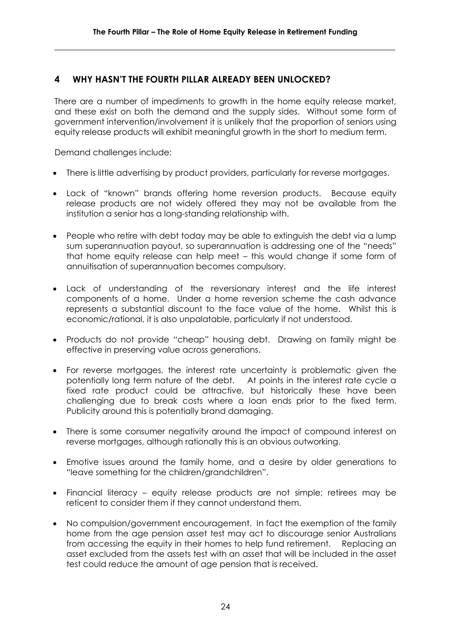# **4 WHY HASN'T THE FOURTH PILLAR ALREADY BEEN UNLOCKED?**

There are a number of impediments to growth in the home equity release market, and these exist on both the demand and the supply sides. Without some form of government intervention/involvement it is unlikely that the proportion of seniors using equity release products will exhibit meaningful growth in the short to medium term.

Demand challenges include:

- There is little advertising by product providers, particularly for reverse mortgages.
- Lack of "known" brands offering home reversion products. Because equity release products are not widely offered they may not be available from the institution a senior has a long-standing relationship with.
- People who retire with debt today may be able to extinguish the debt via a lump sum superannuation payout, so superannuation is addressing one of the "needs" that home equity release can help meet – this would change if some form of annuitisation of superannuation becomes compulsory.
- Lack of understanding of the reversionary interest and the life interest components of a home. Under a home reversion scheme the cash advance represents a substantial discount to the face value of the home. Whilst this is economic/rational, it is also unpalatable, particularly if not understood.
- Products do not provide "cheap" housing debt. Drawing on family might be effective in preserving value across generations.
- For reverse mortgages, the interest rate uncertainty is problematic given the potentially long term nature of the debt. At points in the interest rate cycle a fixed rate product could be attractive, but historically these have been challenging due to break costs where a loan ends prior to the fixed term. Publicity around this is potentially brand damaging.
- There is some consumer negativity around the impact of compound interest on reverse mortgages, although rationally this is an obvious outworking.
- Emotive issues around the family home, and a desire by older generations to "leave something for the children/grandchildren".
- Financial literacy equity release products are not simple; retirees may be reticent to consider them if they cannot understand them.
- No compulsion/government encouragement. In fact the exemption of the family home from the age pension asset test may act to discourage senior Australians from accessing the equity in their homes to help fund retirement. Replacing an asset excluded from the assets test with an asset that will be included in the asset test could reduce the amount of age pension that is received.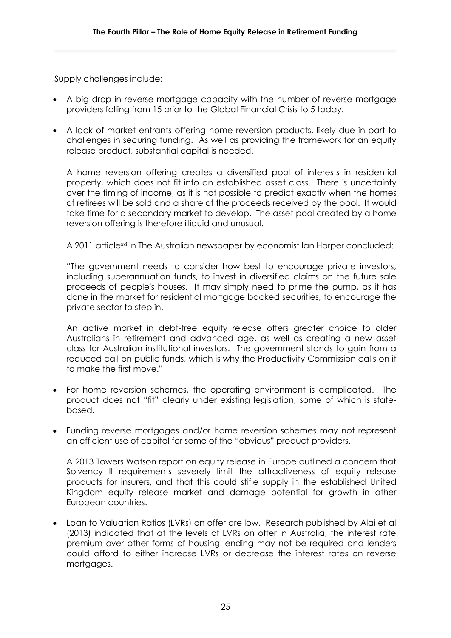Supply challenges include:

- A big drop in reverse mortgage capacity with the number of reverse mortgage providers falling from 15 prior to the Global Financial Crisis to 5 today.
- A lack of market entrants offering home reversion products, likely due in part to challenges in securing funding. As well as providing the framework for an equity release product, substantial capital is needed.

A home reversion offering creates a diversified pool of interests in residential property, which does not fit into an established asset class. There is uncertainty over the timing of income, as it is not possible to predict exactly when the homes of retirees will be sold and a share of the proceeds received by the pool. It would take time for a secondary market to develop. The asset pool created by a home reversion offering is therefore illiquid and unusual.

A 2011 article<sup>xxi</sup> in The Australian newspaper by economist Ian Harper concluded:

"The government needs to consider how best to encourage private investors, including superannuation funds, to invest in diversified claims on the future sale proceeds of people's houses. It may simply need to prime the pump, as it has done in the market for residential mortgage backed securities, to encourage the private sector to step in.

An active market in debt-free equity release offers greater choice to older Australians in retirement and advanced age, as well as creating a new asset class for Australian institutional investors. The government stands to gain from a reduced call on public funds, which is why the Productivity Commission calls on it to make the first move."

- For home reversion schemes, the operating environment is complicated. The product does not "fit" clearly under existing legislation, some of which is statebased.
- Funding reverse mortgages and/or home reversion schemes may not represent an efficient use of capital for some of the "obvious" product providers.

A 2013 Towers Watson report on equity release in Europe outlined a concern that Solvency II requirements severely limit the attractiveness of equity release products for insurers, and that this could stifle supply in the established United Kingdom equity release market and damage potential for growth in other European countries.

 Loan to Valuation Ratios (LVRs) on offer are low. Research published by Alai et al (2013) indicated that at the levels of LVRs on offer in Australia, the interest rate premium over other forms of housing lending may not be required and lenders could afford to either increase LVRs or decrease the interest rates on reverse mortgages.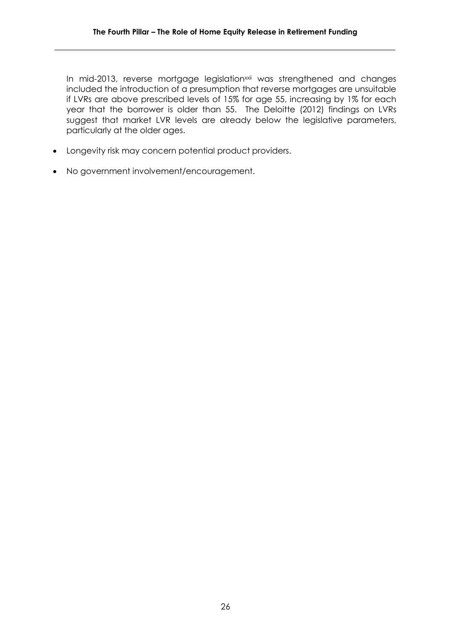In mid-2013, reverse mortgage legislation<sup>xxii</sup> was strengthened and changes included the introduction of a presumption that reverse mortgages are unsuitable if LVRs are above prescribed levels of 15% for age 55, increasing by 1% for each year that the borrower is older than 55. The Deloitte (2012) findings on LVRs suggest that market LVR levels are already below the legislative parameters, particularly at the older ages.

- Longevity risk may concern potential product providers.
- No government involvement/encouragement.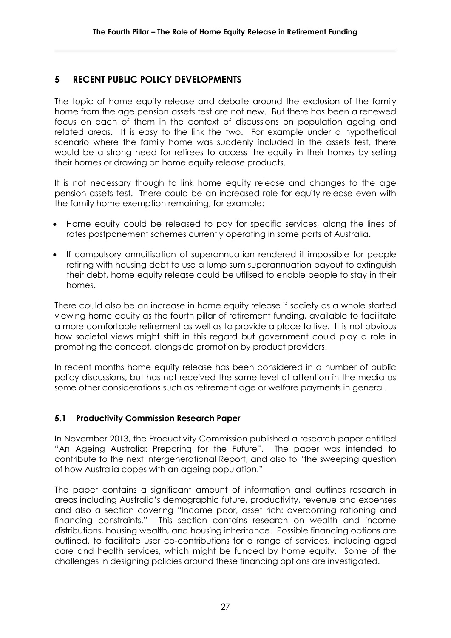# **5 RECENT PUBLIC POLICY DEVELOPMENTS**

The topic of home equity release and debate around the exclusion of the family home from the age pension assets test are not new. But there has been a renewed focus on each of them in the context of discussions on population ageing and related areas. It is easy to the link the two. For example under a hypothetical scenario where the family home was suddenly included in the assets test, there would be a strong need for retirees to access the equity in their homes by selling their homes or drawing on home equity release products.

It is not necessary though to link home equity release and changes to the age pension assets test. There could be an increased role for equity release even with the family home exemption remaining, for example:

- Home equity could be released to pay for specific services, along the lines of rates postponement schemes currently operating in some parts of Australia.
- If compulsory annuitisation of superannuation rendered it impossible for people retiring with housing debt to use a lump sum superannuation payout to extinguish their debt, home equity release could be utilised to enable people to stay in their homes.

There could also be an increase in home equity release if society as a whole started viewing home equity as the fourth pillar of retirement funding, available to facilitate a more comfortable retirement as well as to provide a place to live. It is not obvious how societal views might shift in this regard but government could play a role in promoting the concept, alongside promotion by product providers.

In recent months home equity release has been considered in a number of public policy discussions, but has not received the same level of attention in the media as some other considerations such as retirement age or welfare payments in general.

#### **5.1 Productivity Commission Research Paper**

In November 2013, the Productivity Commission published a research paper entitled "An Ageing Australia: Preparing for the Future". The paper was intended to contribute to the next Intergenerational Report, and also to "the sweeping question of how Australia copes with an ageing population."

The paper contains a significant amount of information and outlines research in areas including Australia's demographic future, productivity, revenue and expenses and also a section covering "Income poor, asset rich: overcoming rationing and financing constraints." This section contains research on wealth and income distributions, housing wealth, and housing inheritance. Possible financing options are outlined, to facilitate user co-contributions for a range of services, including aged care and health services, which might be funded by home equity. Some of the challenges in designing policies around these financing options are investigated.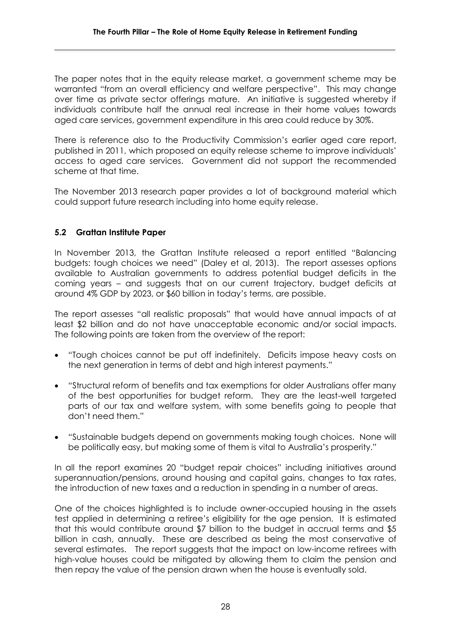The paper notes that in the equity release market, a government scheme may be warranted "from an overall efficiency and welfare perspective". This may change over time as private sector offerings mature. An initiative is suggested whereby if individuals contribute half the annual real increase in their home values towards aged care services, government expenditure in this area could reduce by 30%.

There is reference also to the Productivity Commission's earlier aged care report, published in 2011, which proposed an equity release scheme to improve individuals' access to aged care services. Government did not support the recommended scheme at that time.

The November 2013 research paper provides a lot of background material which could support future research including into home equity release.

#### **5.2 Grattan Institute Paper**

In November 2013, the Grattan Institute released a report entitled "Balancing budgets: tough choices we need" (Daley et al, 2013). The report assesses options available to Australian governments to address potential budget deficits in the coming years – and suggests that on our current trajectory, budget deficits at around 4% GDP by 2023, or \$60 billion in today's terms, are possible.

The report assesses "all realistic proposals" that would have annual impacts of at least \$2 billion and do not have unacceptable economic and/or social impacts. The following points are taken from the overview of the report:

- "Tough choices cannot be put off indefinitely. Deficits impose heavy costs on the next generation in terms of debt and high interest payments."
- "Structural reform of benefits and tax exemptions for older Australians offer many of the best opportunities for budget reform. They are the least-well targeted parts of our tax and welfare system, with some benefits going to people that don't need them."
- "Sustainable budgets depend on governments making tough choices. None will be politically easy, but making some of them is vital to Australia's prosperity."

In all the report examines 20 "budget repair choices" including initiatives around superannuation/pensions, around housing and capital gains, changes to tax rates, the introduction of new taxes and a reduction in spending in a number of areas.

One of the choices highlighted is to include owner-occupied housing in the assets test applied in determining a retiree's eligibility for the age pension. It is estimated that this would contribute around \$7 billion to the budget in accrual terms and \$5 billion in cash, annually. These are described as being the most conservative of several estimates. The report suggests that the impact on low-income retirees with high-value houses could be mitigated by allowing them to claim the pension and then repay the value of the pension drawn when the house is eventually sold.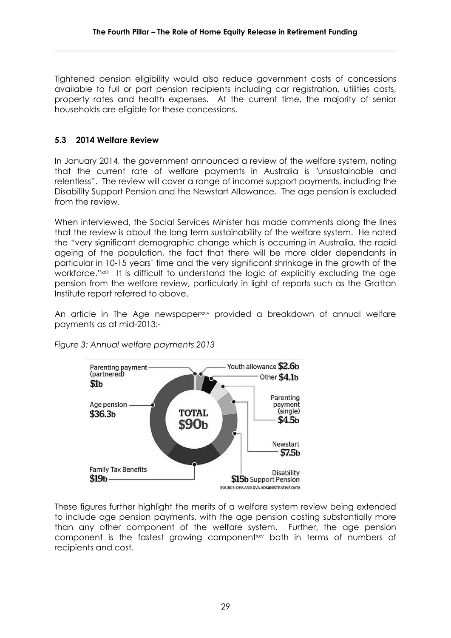Tightened pension eligibility would also reduce government costs of concessions available to full or part pension recipients including car registration, utilities costs, property rates and health expenses. At the current time, the majority of senior households are eligible for these concessions.

# **5.3 2014 Welfare Review**

In January 2014, the government announced a review of the welfare system, noting that the current rate of welfare payments in Australia is "unsustainable and relentless". The review will cover a range of income support payments, including the Disability Support Pension and the Newstart Allowance. The age pension is excluded from the review.

When interviewed, the Social Services Minister has made comments along the lines that the review is about the long term sustainability of the welfare system. He noted the "very significant demographic change which is occurring in Australia, the rapid ageing of the population, the fact that there will be more older dependants in particular in 10-15 years' time and the very significant shrinkage in the growth of the workforce."<sup>xxiii</sup> It is difficult to understand the logic of explicitly excluding the age pension from the welfare review, particularly in light of reports such as the Grattan Institute report referred to above.

An article in The Age newspaper<sup>xxiv</sup> provided a breakdown of annual welfare payments as at mid-2013:-



*Figure 3: Annual welfare payments 2013*

These figures further highlight the merits of a welfare system review being extended to include age pension payments, with the age pension costing substantially more than any other component of the welfare system. Further, the age pension component is the fastest growing componentxxy both in terms of numbers of recipients and cost.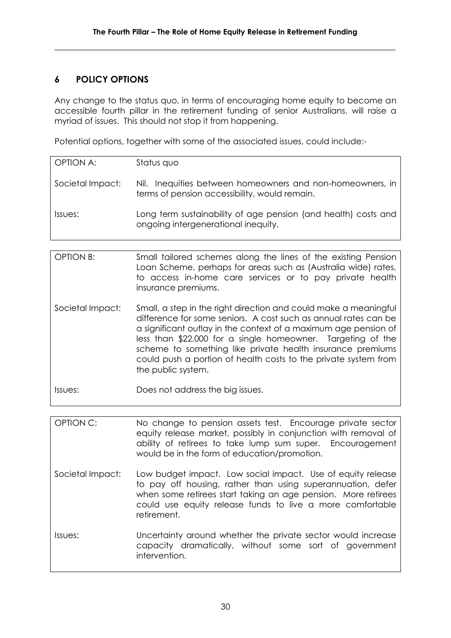# **6 POLICY OPTIONS**

Any change to the status quo, in terms of encouraging home equity to become an accessible fourth pillar in the retirement funding of senior Australians, will raise a myriad of issues. This should not stop it from happening.

Potential options, together with some of the associated issues, could include:-

| <b>OPTION A:</b> | Status quo                                                                                                 |
|------------------|------------------------------------------------------------------------------------------------------------|
| Societal Impact: | Nil. Inequities between homeowners and non-homeowners, in<br>terms of pension accessibility, would remain. |
| Issues:          | Long term sustainability of age pension (and health) costs and<br>ongoing intergenerational inequity.      |

| <b>OPTION B:</b> | Small tailored schemes along the lines of the existing Pension<br>Loan Scheme, perhaps for areas such as (Australia wide) rates,<br>to access in-home care services or to pay private health<br>insurance premiums.                                                                                                                                                                                                          |
|------------------|------------------------------------------------------------------------------------------------------------------------------------------------------------------------------------------------------------------------------------------------------------------------------------------------------------------------------------------------------------------------------------------------------------------------------|
| Societal Impact: | Small, a step in the right direction and could make a meaningful<br>difference for some seniors. A cost such as annual rates can be<br>a significant outlay in the context of a maximum age pension of<br>less than \$22,000 for a single homeowner. Targeting of the<br>scheme to something like private health insurance premiums<br>could push a portion of health costs to the private system from<br>the public system. |
| Issues:          | Does not address the big issues.                                                                                                                                                                                                                                                                                                                                                                                             |

OPTION C: No change to pension assets test. Encourage private sector equity release market, possibly in conjunction with removal of ability of retirees to take lump sum super. Encouragement would be in the form of education/promotion.

- Societal Impact: Low budget impact. Low social impact. Use of equity release to pay off housing, rather than using superannuation, defer when some retirees start taking an age pension. More retirees could use equity release funds to live a more comfortable retirement.
- Issues: Uncertainty around whether the private sector would increase capacity dramatically, without some sort of government intervention.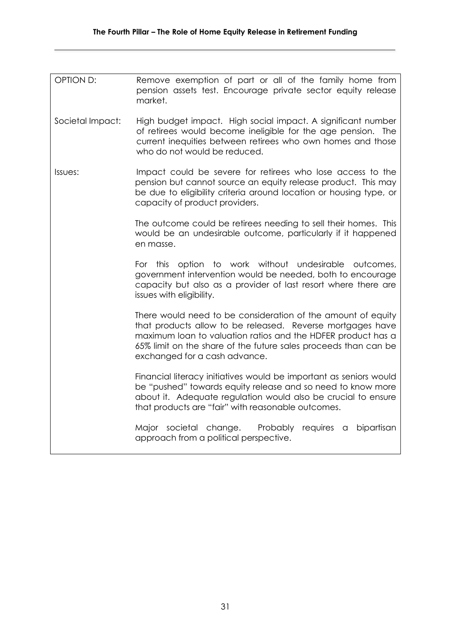| OPTION D:                                                                                                                                                                                                                                      | Remove exemption of part or all of the family home from<br>pension assets test. Encourage private sector equity release<br>market.                                                                                                                                                             |
|------------------------------------------------------------------------------------------------------------------------------------------------------------------------------------------------------------------------------------------------|------------------------------------------------------------------------------------------------------------------------------------------------------------------------------------------------------------------------------------------------------------------------------------------------|
| Societal Impact:                                                                                                                                                                                                                               | High budget impact. High social impact. A significant number<br>of retirees would become ineligible for the age pension. The<br>current inequities between retirees who own homes and those<br>who do not would be reduced.                                                                    |
| Impact could be severe for retirees who lose access to the<br>Issues:<br>pension but cannot source an equity release product. This may<br>be due to eligibility criteria around location or housing type, or<br>capacity of product providers. |                                                                                                                                                                                                                                                                                                |
|                                                                                                                                                                                                                                                | The outcome could be retirees needing to sell their homes. This<br>would be an undesirable outcome, particularly if it happened<br>en masse.                                                                                                                                                   |
|                                                                                                                                                                                                                                                | option to work without undesirable outcomes,<br>For<br>this<br>government intervention would be needed, both to encourage<br>capacity but also as a provider of last resort where there are<br>issues with eligibility.                                                                        |
|                                                                                                                                                                                                                                                | There would need to be consideration of the amount of equity<br>that products allow to be released. Reverse mortgages have<br>maximum loan to valuation ratios and the HDFER product has a<br>65% limit on the share of the future sales proceeds than can be<br>exchanged for a cash advance. |
|                                                                                                                                                                                                                                                | Financial literacy initiatives would be important as seniors would<br>be "pushed" towards equity release and so need to know more<br>about it. Adequate regulation would also be crucial to ensure<br>that products are "fair" with reasonable outcomes.                                       |
|                                                                                                                                                                                                                                                | Major societal change.<br>bipartisan<br>Probably<br>requires<br>- a<br>approach from a political perspective.                                                                                                                                                                                  |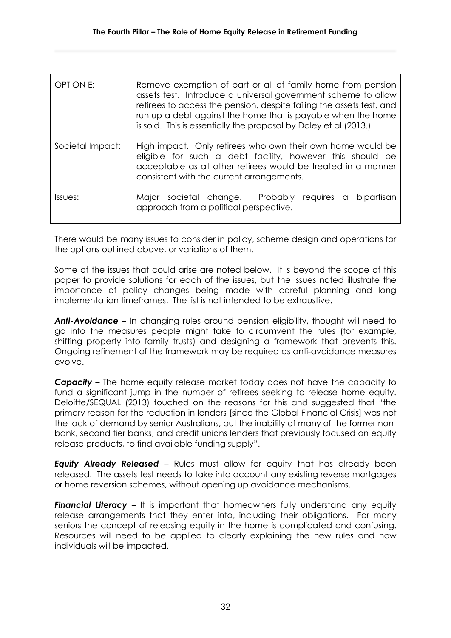| OPTION E:        | Remove exemption of part or all of family home from pension<br>assets test. Introduce a universal government scheme to allow<br>retirees to access the pension, despite failing the assets test, and<br>run up a debt against the home that is payable when the home<br>is sold. This is essentially the proposal by Daley et al (2013.) |
|------------------|------------------------------------------------------------------------------------------------------------------------------------------------------------------------------------------------------------------------------------------------------------------------------------------------------------------------------------------|
| Societal Impact: | High impact. Only retirees who own their own home would be<br>eligible for such a debt facility, however this should be<br>acceptable as all other retirees would be treated in a manner<br>consistent with the current arrangements.                                                                                                    |
| Issues:          | Major societal change. Probably requires a<br>bipartisan<br>approach from a political perspective.                                                                                                                                                                                                                                       |

There would be many issues to consider in policy, scheme design and operations for the options outlined above, or variations of them.

Some of the issues that could arise are noted below. It is beyond the scope of this paper to provide solutions for each of the issues, but the issues noted illustrate the importance of policy changes being made with careful planning and long implementation timeframes. The list is not intended to be exhaustive.

*Anti-Avoidance –* In changing rules around pension eligibility, thought will need to go into the measures people might take to circumvent the rules (for example, shifting property into family trusts) and designing a framework that prevents this. Ongoing refinement of the framework may be required as anti-avoidance measures evolve.

*Capacity –* The home equity release market today does not have the capacity to fund a significant jump in the number of retirees seeking to release home equity. Deloitte/SEQUAL (2013) touched on the reasons for this and suggested that "the primary reason for the reduction in lenders [since the Global Financial Crisis] was not the lack of demand by senior Australians, but the inability of many of the former nonbank, second tier banks, and credit unions lenders that previously focused on equity release products, to find available funding supply".

**Equity Already Released** – Rules must allow for equity that has already been released. The assets test needs to take into account any existing reverse mortgages or home reversion schemes, without opening up avoidance mechanisms.

**Financial Literacy** – It is important that homeowners fully understand any equity release arrangements that they enter into, including their obligations. For many seniors the concept of releasing equity in the home is complicated and confusing. Resources will need to be applied to clearly explaining the new rules and how individuals will be impacted.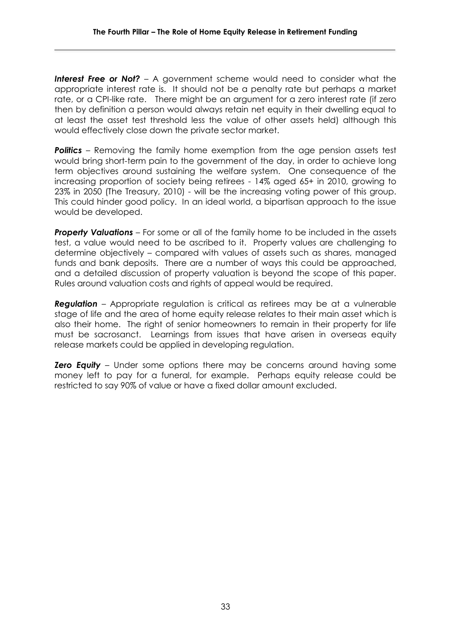**Interest Free or Not?** – A government scheme would need to consider what the appropriate interest rate is. It should not be a penalty rate but perhaps a market rate, or a CPI-like rate. There might be an argument for a zero interest rate (if zero then by definition a person would always retain net equity in their dwelling equal to at least the asset test threshold less the value of other assets held) although this would effectively close down the private sector market.

**Politics** – Removing the family home exemption from the age pension assets test would bring short-term pain to the government of the day, in order to achieve long term objectives around sustaining the welfare system. One consequence of the increasing proportion of society being retirees - 14% aged 65+ in 2010, growing to 23% in 2050 (The Treasury, 2010) - will be the increasing voting power of this group. This could hinder good policy. In an ideal world, a bipartisan approach to the issue would be developed.

**Property Valuations** – For some or all of the family home to be included in the assets test, a value would need to be ascribed to it. Property values are challenging to determine objectively – compared with values of assets such as shares, managed funds and bank deposits. There are a number of ways this could be approached, and a detailed discussion of property valuation is beyond the scope of this paper. Rules around valuation costs and rights of appeal would be required.

*Regulation* – Appropriate regulation is critical as retirees may be at a vulnerable stage of life and the area of home equity release relates to their main asset which is also their home. The right of senior homeowners to remain in their property for life must be sacrosanct. Learnings from issues that have arisen in overseas equity release markets could be applied in developing regulation.

**Zero Equity** – Under some options there may be concerns around having some money left to pay for a funeral, for example. Perhaps equity release could be restricted to say 90% of value or have a fixed dollar amount excluded.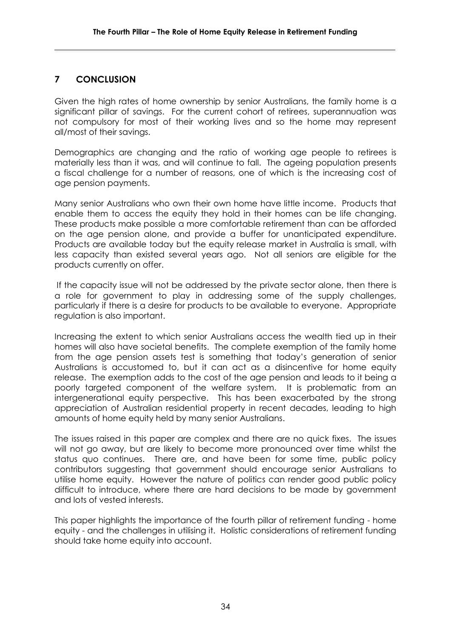# **7 CONCLUSION**

Given the high rates of home ownership by senior Australians, the family home is a significant pillar of savings. For the current cohort of retirees, superannuation was not compulsory for most of their working lives and so the home may represent all/most of their savings.

Demographics are changing and the ratio of working age people to retirees is materially less than it was, and will continue to fall. The ageing population presents a fiscal challenge for a number of reasons, one of which is the increasing cost of age pension payments.

Many senior Australians who own their own home have little income. Products that enable them to access the equity they hold in their homes can be life changing. These products make possible a more comfortable retirement than can be afforded on the age pension alone, and provide a buffer for unanticipated expenditure. Products are available today but the equity release market in Australia is small, with less capacity than existed several years ago. Not all seniors are eligible for the products currently on offer.

If the capacity issue will not be addressed by the private sector alone, then there is a role for government to play in addressing some of the supply challenges, particularly if there is a desire for products to be available to everyone. Appropriate regulation is also important.

Increasing the extent to which senior Australians access the wealth tied up in their homes will also have societal benefits. The complete exemption of the family home from the age pension assets test is something that today's generation of senior Australians is accustomed to, but it can act as a disincentive for home equity release. The exemption adds to the cost of the age pension and leads to it being a poorly targeted component of the welfare system. It is problematic from an intergenerational equity perspective. This has been exacerbated by the strong appreciation of Australian residential property in recent decades, leading to high amounts of home equity held by many senior Australians.

The issues raised in this paper are complex and there are no quick fixes. The issues will not go away, but are likely to become more pronounced over time whilst the status quo continues. There are, and have been for some time, public policy contributors suggesting that government should encourage senior Australians to utilise home equity. However the nature of politics can render good public policy difficult to introduce, where there are hard decisions to be made by government and lots of vested interests.

This paper highlights the importance of the fourth pillar of retirement funding - home equity - and the challenges in utilising it. Holistic considerations of retirement funding should take home equity into account.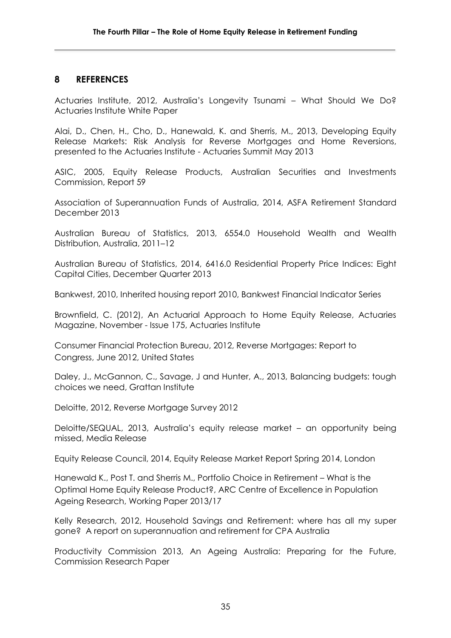#### **8 REFERENCES**

Actuaries Institute, 2012, Australia's Longevity Tsunami – What Should We Do? Actuaries Institute White Paper

Alai, D., Chen, H., Cho, D., Hanewald, K. and Sherris, M., 2013, Developing Equity Release Markets: Risk Analysis for Reverse Mortgages and Home Reversions, presented to the Actuaries Institute - Actuaries Summit May 2013

ASIC, 2005, Equity Release Products, Australian Securities and Investments Commission, Report 59

Association of Superannuation Funds of Australia, 2014, ASFA Retirement Standard December 2013

Australian Bureau of Statistics, 2013, 6554.0 Household Wealth and Wealth Distribution, Australia, 2011–12

Australian Bureau of Statistics, 2014, 6416.0 Residential Property Price Indices: Eight Capital Cities, December Quarter 2013

Bankwest, 2010, Inherited housing report 2010, Bankwest Financial Indicator Series

Brownfield, C. (2012), An Actuarial Approach to Home Equity Release, Actuaries Magazine, November - Issue 175, Actuaries Institute

Consumer Financial Protection Bureau, 2012, Reverse Mortgages: Report to Congress, June 2012, United States

Daley, J., McGannon, C., Savage, J and Hunter, A., 2013, Balancing budgets: tough choices we need, Grattan Institute

Deloitte, 2012, Reverse Mortgage Survey 2012

Deloitte/SEQUAL, 2013, Australia's equity release market – an opportunity being missed, Media Release

Equity Release Council, 2014, Equity Release Market Report Spring 2014, London

Hanewald K., Post T. and Sherris M., Portfolio Choice in Retirement – What is the Optimal Home Equity Release Product?, ARC Centre of Excellence in Population Ageing Research, Working Paper 2013/17

Kelly Research, 2012, Household Savings and Retirement: where has all my super gone? A report on superannuation and retirement for CPA Australia

Productivity Commission 2013, An Ageing Australia: Preparing for the Future, Commission Research Paper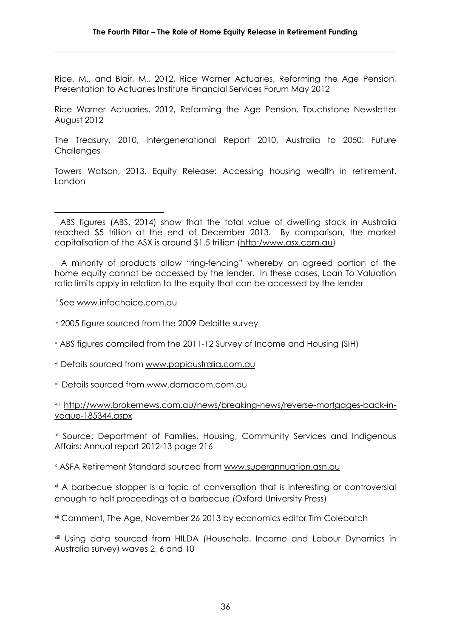Rice, M., and Blair, M., 2012, Rice Warner Actuaries, Reforming the Age Pension, Presentation to Actuaries Institute Financial Services Forum May 2012

Rice Warner Actuaries, 2012, Reforming the Age Pension, Touchstone Newsletter August 2012

The Treasury, 2010, Intergenerational Report 2010, Australia to 2050: Future **Challenges** 

Towers Watson, 2013, Equity Release: Accessing housing wealth in retirement, London

ii A minority of products allow "ring-fencing" whereby an agreed portion of the home equity cannot be accessed by the lender. In these cases, Loan To Valuation ratio limits apply in relation to the equity that can be accessed by the lender

iii See [www.infochoice.com.au](http://www.infochoice.com.au/)

iv 2005 figure sourced from the 2009 Deloitte survey

<sup>v</sup> ABS figures compiled from the 2011-12 Survey of Income and Housing (SIH)

vi Details sourced from [www.popiaustralia.com.au](http://www.popiaustralia.com.au/)

vii Details sourced from [www.domacom.com.au](http://www.domacom.com.au/)

#### viii [http://www.brokernews.com.au/news/breaking-news/reverse-mortgages-back-in](http://www.brokernews.com.au/news/breaking-news/reverse-mortgages-back-in-vogue-185344.aspx)[vogue-185344.aspx](http://www.brokernews.com.au/news/breaking-news/reverse-mortgages-back-in-vogue-185344.aspx)

ix Source: Department of Families, Housing, Community Services and Indigenous Affairs: Annual report 2012-13 page 216

<sup>x</sup> ASFA Retirement Standard sourced from [www.superannuation.asn.au](http://www.superannuation.asn.au/)

xi A barbecue stopper is a topic of conversation that is interesting or controversial enough to halt proceedings at a barbecue (Oxford University Press)

<sup>xii</sup> Comment, The Age, November 26 2013 by economics editor Tim Colebatch

xiii Using data sourced from HILDA (Household, Income and Labour Dynamics in Australia survey) waves 2, 6 and 10

**<sup>.</sup>** <sup>i</sup> ABS figures (ABS, 2014) show that the total value of dwelling stock in Australia reached \$5 trillion at the end of December 2013. By comparison, the market capitalisation of the ASX is around \$1.5 trillion (http:/www.asx.com.au)